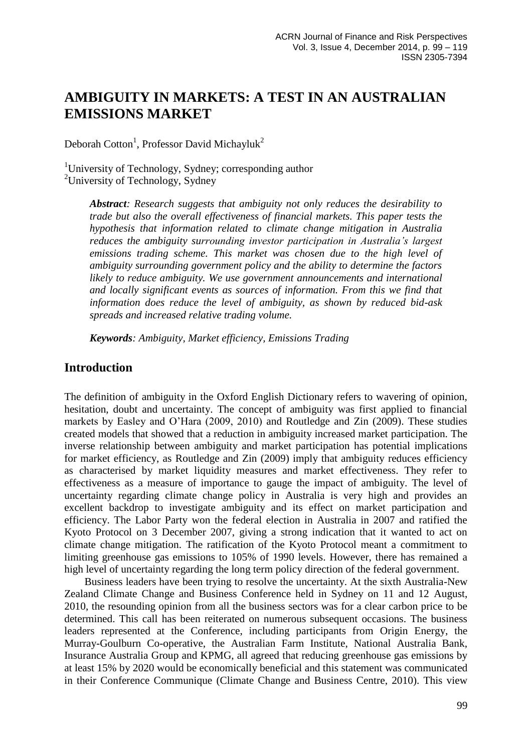# **AMBIGUITY IN MARKETS: A TEST IN AN AUSTRALIAN EMISSIONS MARKET**

Deborah Cotton<sup>1</sup>, Professor David Michayluk<sup>2</sup>

<sup>1</sup>University of Technology, Sydney; corresponding author <sup>2</sup>University of Technology, Sydney

*Abstract: Research suggests that ambiguity not only reduces the desirability to trade but also the overall effectiveness of financial markets. This paper tests the hypothesis that information related to climate change mitigation in Australia reduces the ambiguity surrounding investor participation in Australia's largest emissions trading scheme. This market was chosen due to the high level of ambiguity surrounding government policy and the ability to determine the factors likely to reduce ambiguity. We use government announcements and international and locally significant events as sources of information. From this we find that information does reduce the level of ambiguity, as shown by reduced bid-ask spreads and increased relative trading volume.* 

*Keywords: Ambiguity, Market efficiency, Emissions Trading*

## **Introduction**

The definition of ambiguity in the Oxford English Dictionary refers to wavering of opinion, hesitation, doubt and uncertainty. The concept of ambiguity was first applied to financial markets by Easley and O'Hara (2009, 2010) and Routledge and Zin (2009). These studies created models that showed that a reduction in ambiguity increased market participation. The inverse relationship between ambiguity and market participation has potential implications for market efficiency, as Routledge and Zin (2009) imply that ambiguity reduces efficiency as characterised by market liquidity measures and market effectiveness. They refer to effectiveness as a measure of importance to gauge the impact of ambiguity. The level of uncertainty regarding climate change policy in Australia is very high and provides an excellent backdrop to investigate ambiguity and its effect on market participation and efficiency. The Labor Party won the federal election in Australia in 2007 and ratified the Kyoto Protocol on 3 December 2007, giving a strong indication that it wanted to act on climate change mitigation. The ratification of the Kyoto Protocol meant a commitment to limiting greenhouse gas emissions to 105% of 1990 levels. However, there has remained a high level of uncertainty regarding the long term policy direction of the federal government.

Business leaders have been trying to resolve the uncertainty. At the sixth Australia-New Zealand Climate Change and Business Conference held in Sydney on 11 and 12 August, 2010, the resounding opinion from all the business sectors was for a clear carbon price to be determined. This call has been reiterated on numerous subsequent occasions. The business leaders represented at the Conference, including participants from Origin Energy, the Murray-Goulburn Co-operative, the Australian Farm Institute, National Australia Bank, Insurance Australia Group and KPMG, all agreed that reducing greenhouse gas emissions by at least 15% by 2020 would be economically beneficial and this statement was communicated in their Conference Communique (Climate Change and Business Centre, 2010). This view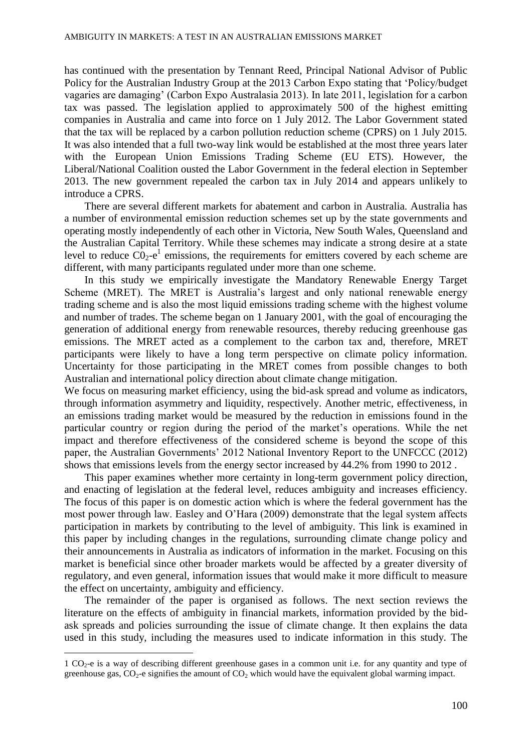has continued with the presentation by Tennant Reed, Principal National Advisor of Public Policy for the Australian Industry Group at the 2013 Carbon Expo stating that 'Policy/budget vagaries are damaging' (Carbon Expo Australasia 2013). In late 2011, legislation for a carbon tax was passed. The legislation applied to approximately 500 of the highest emitting companies in Australia and came into force on 1 July 2012. The Labor Government stated that the tax will be replaced by a carbon pollution reduction scheme (CPRS) on 1 July 2015. It was also intended that a full two-way link would be established at the most three years later with the European Union Emissions Trading Scheme (EU ETS). However, the Liberal/National Coalition ousted the Labor Government in the federal election in September 2013. The new government repealed the carbon tax in July 2014 and appears unlikely to introduce a CPRS.

There are several different markets for abatement and carbon in Australia. Australia has a number of environmental emission reduction schemes set up by the state governments and operating mostly independently of each other in Victoria, New South Wales, Queensland and the Australian Capital Territory. While these schemes may indicate a strong desire at a state level to reduce  $CO_2$ -e<sup>1</sup> emissions, the requirements for emitters covered by each scheme are different, with many participants regulated under more than one scheme.

In this study we empirically investigate the Mandatory Renewable Energy Target Scheme (MRET). The MRET is Australia's largest and only national renewable energy trading scheme and is also the most liquid emissions trading scheme with the highest volume and number of trades. The scheme began on 1 January 2001, with the goal of encouraging the generation of additional energy from renewable resources, thereby reducing greenhouse gas emissions. The MRET acted as a complement to the carbon tax and, therefore, MRET participants were likely to have a long term perspective on climate policy information. Uncertainty for those participating in the MRET comes from possible changes to both Australian and international policy direction about climate change mitigation.

We focus on measuring market efficiency, using the bid-ask spread and volume as indicators, through information asymmetry and liquidity, respectively. Another metric, effectiveness, in an emissions trading market would be measured by the reduction in emissions found in the particular country or region during the period of the market's operations. While the net impact and therefore effectiveness of the considered scheme is beyond the scope of this paper, the Australian Governments' 2012 National Inventory Report to the UNFCCC (2012) shows that emissions levels from the energy sector increased by 44.2% from 1990 to 2012 .

This paper examines whether more certainty in long-term government policy direction, and enacting of legislation at the federal level, reduces ambiguity and increases efficiency. The focus of this paper is on domestic action which is where the federal government has the most power through law. Easley and O'Hara (2009) demonstrate that the legal system affects participation in markets by contributing to the level of ambiguity. This link is examined in this paper by including changes in the regulations, surrounding climate change policy and their announcements in Australia as indicators of information in the market. Focusing on this market is beneficial since other broader markets would be affected by a greater diversity of regulatory, and even general, information issues that would make it more difficult to measure the effect on uncertainty, ambiguity and efficiency.

The remainder of the paper is organised as follows. The next section reviews the literature on the effects of ambiguity in financial markets, information provided by the bidask spreads and policies surrounding the issue of climate change. It then explains the data used in this study, including the measures used to indicate information in this study. The

1

<sup>1</sup> CO2-e is a way of describing different greenhouse gases in a common unit i.e. for any quantity and type of greenhouse gas,  $CO_2$ -e signifies the amount of  $CO_2$  which would have the equivalent global warming impact.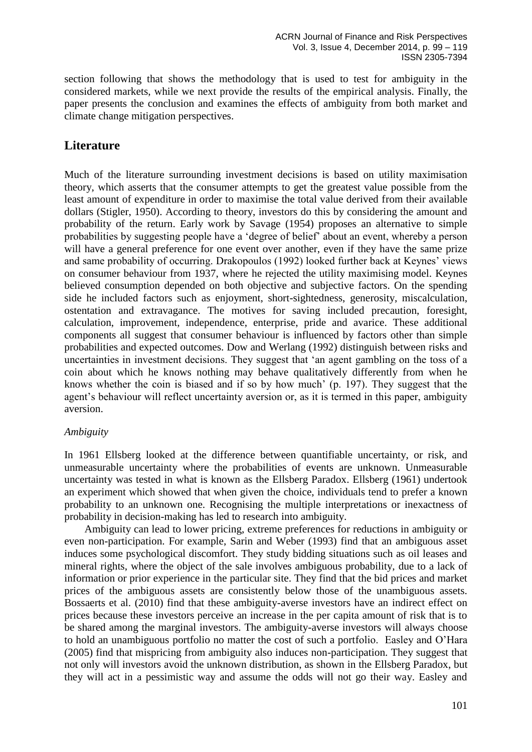section following that shows the methodology that is used to test for ambiguity in the considered markets, while we next provide the results of the empirical analysis. Finally, the paper presents the conclusion and examines the effects of ambiguity from both market and climate change mitigation perspectives.

# **Literature**

Much of the literature surrounding investment decisions is based on utility maximisation theory, which asserts that the consumer attempts to get the greatest value possible from the least amount of expenditure in order to maximise the total value derived from their available dollars (Stigler, 1950). According to theory, investors do this by considering the amount and probability of the return. Early work by Savage (1954) proposes an alternative to simple probabilities by suggesting people have a 'degree of belief' about an event, whereby a person will have a general preference for one event over another, even if they have the same prize and same probability of occurring. Drakopoulos (1992) looked further back at Keynes' views on consumer behaviour from 1937, where he rejected the utility maximising model. Keynes believed consumption depended on both objective and subjective factors. On the spending side he included factors such as enjoyment, short-sightedness, generosity, miscalculation, ostentation and extravagance. The motives for saving included precaution, foresight, calculation, improvement, independence, enterprise, pride and avarice. These additional components all suggest that consumer behaviour is influenced by factors other than simple probabilities and expected outcomes. Dow and Werlang (1992) distinguish between risks and uncertainties in investment decisions. They suggest that 'an agent gambling on the toss of a coin about which he knows nothing may behave qualitatively differently from when he knows whether the coin is biased and if so by how much' (p. 197). They suggest that the agent's behaviour will reflect uncertainty aversion or, as it is termed in this paper, ambiguity aversion.

### *Ambiguity*

In 1961 Ellsberg looked at the difference between quantifiable uncertainty, or risk, and unmeasurable uncertainty where the probabilities of events are unknown. Unmeasurable uncertainty was tested in what is known as the Ellsberg Paradox. Ellsberg (1961) undertook an experiment which showed that when given the choice, individuals tend to prefer a known probability to an unknown one. Recognising the multiple interpretations or inexactness of probability in decision-making has led to research into ambiguity.

Ambiguity can lead to lower pricing, extreme preferences for reductions in ambiguity or even non-participation. For example, Sarin and Weber (1993) find that an ambiguous asset induces some psychological discomfort. They study bidding situations such as oil leases and mineral rights, where the object of the sale involves ambiguous probability, due to a lack of information or prior experience in the particular site. They find that the bid prices and market prices of the ambiguous assets are consistently below those of the unambiguous assets. Bossaerts et al. (2010) find that these ambiguity-averse investors have an indirect effect on prices because these investors perceive an increase in the per capita amount of risk that is to be shared among the marginal investors. The ambiguity-averse investors will always choose to hold an unambiguous portfolio no matter the cost of such a portfolio. Easley and O'Hara (2005) find that mispricing from ambiguity also induces non-participation. They suggest that not only will investors avoid the unknown distribution, as shown in the Ellsberg Paradox, but they will act in a pessimistic way and assume the odds will not go their way. Easley and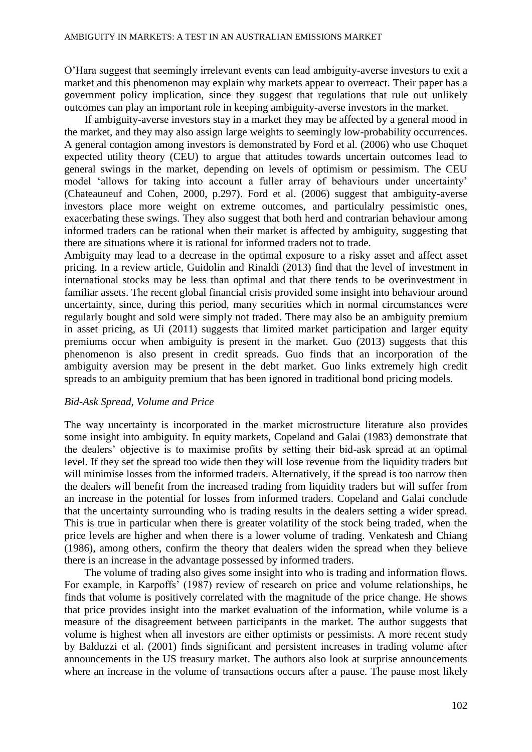O'Hara suggest that seemingly irrelevant events can lead ambiguity-averse investors to exit a market and this phenomenon may explain why markets appear to overreact. Their paper has a government policy implication, since they suggest that regulations that rule out unlikely outcomes can play an important role in keeping ambiguity-averse investors in the market.

If ambiguity-averse investors stay in a market they may be affected by a general mood in the market, and they may also assign large weights to seemingly low-probability occurrences. A general contagion among investors is demonstrated by Ford et al. (2006) who use Choquet expected utility theory (CEU) to argue that attitudes towards uncertain outcomes lead to general swings in the market, depending on levels of optimism or pessimism. The CEU model 'allows for taking into account a fuller array of behaviours under uncertainty' (Chateauneuf and Cohen, 2000, p.297). Ford et al. (2006) suggest that ambiguity-averse investors place more weight on extreme outcomes, and particulalry pessimistic ones, exacerbating these swings. They also suggest that both herd and contrarian behaviour among informed traders can be rational when their market is affected by ambiguity, suggesting that there are situations where it is rational for informed traders not to trade.

Ambiguity may lead to a decrease in the optimal exposure to a risky asset and affect asset pricing. In a review article, Guidolin and Rinaldi (2013) find that the level of investment in international stocks may be less than optimal and that there tends to be overinvestment in familiar assets. The recent global financial crisis provided some insight into behaviour around uncertainty, since, during this period, many securities which in normal circumstances were regularly bought and sold were simply not traded. There may also be an ambiguity premium in asset pricing, as Ui (2011) suggests that limited market participation and larger equity premiums occur when ambiguity is present in the market. Guo (2013) suggests that this phenomenon is also present in credit spreads. Guo finds that an incorporation of the ambiguity aversion may be present in the debt market. Guo links extremely high credit spreads to an ambiguity premium that has been ignored in traditional bond pricing models.

#### *Bid-Ask Spread, Volume and Price*

The way uncertainty is incorporated in the market microstructure literature also provides some insight into ambiguity. In equity markets, Copeland and Galai (1983) demonstrate that the dealers' objective is to maximise profits by setting their bid-ask spread at an optimal level. If they set the spread too wide then they will lose revenue from the liquidity traders but will minimise losses from the informed traders. Alternatively, if the spread is too narrow then the dealers will benefit from the increased trading from liquidity traders but will suffer from an increase in the potential for losses from informed traders. Copeland and Galai conclude that the uncertainty surrounding who is trading results in the dealers setting a wider spread. This is true in particular when there is greater volatility of the stock being traded, when the price levels are higher and when there is a lower volume of trading. Venkatesh and Chiang (1986), among others, confirm the theory that dealers widen the spread when they believe there is an increase in the advantage possessed by informed traders.

The volume of trading also gives some insight into who is trading and information flows. For example, in Karpoffs' (1987) review of research on price and volume relationships, he finds that volume is positively correlated with the magnitude of the price change. He shows that price provides insight into the market evaluation of the information, while volume is a measure of the disagreement between participants in the market. The author suggests that volume is highest when all investors are either optimists or pessimists. A more recent study by Balduzzi et al. (2001) finds significant and persistent increases in trading volume after announcements in the US treasury market. The authors also look at surprise announcements where an increase in the volume of transactions occurs after a pause. The pause most likely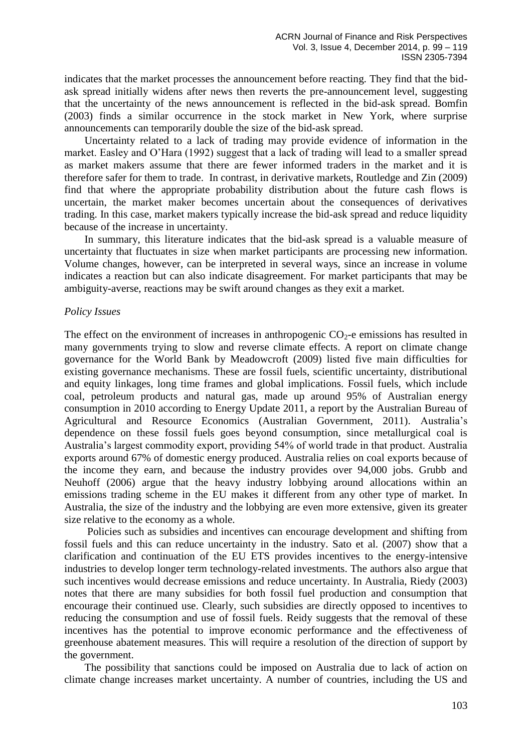indicates that the market processes the announcement before reacting. They find that the bidask spread initially widens after news then reverts the pre-announcement level, suggesting that the uncertainty of the news announcement is reflected in the bid-ask spread. Bomfin (2003) finds a similar occurrence in the stock market in New York, where surprise announcements can temporarily double the size of the bid-ask spread.

Uncertainty related to a lack of trading may provide evidence of information in the market. Easley and O'Hara (1992) suggest that a lack of trading will lead to a smaller spread as market makers assume that there are fewer informed traders in the market and it is therefore safer for them to trade. In contrast, in derivative markets, Routledge and Zin (2009) find that where the appropriate probability distribution about the future cash flows is uncertain, the market maker becomes uncertain about the consequences of derivatives trading. In this case, market makers typically increase the bid-ask spread and reduce liquidity because of the increase in uncertainty.

In summary, this literature indicates that the bid-ask spread is a valuable measure of uncertainty that fluctuates in size when market participants are processing new information. Volume changes, however, can be interpreted in several ways, since an increase in volume indicates a reaction but can also indicate disagreement. For market participants that may be ambiguity-averse, reactions may be swift around changes as they exit a market.

#### *Policy Issues*

The effect on the environment of increases in anthropogenic  $CO_2$ -e emissions has resulted in many governments trying to slow and reverse climate effects. A report on climate change governance for the World Bank by Meadowcroft (2009) listed five main difficulties for existing governance mechanisms. These are fossil fuels, scientific uncertainty, distributional and equity linkages, long time frames and global implications. Fossil fuels, which include coal, petroleum products and natural gas, made up around 95% of Australian energy consumption in 2010 according to Energy Update 2011, a report by the Australian Bureau of Agricultural and Resource Economics (Australian Government, 2011). Australia's dependence on these fossil fuels goes beyond consumption, since metallurgical coal is Australia's largest commodity export, providing 54% of world trade in that product. Australia exports around 67% of domestic energy produced. Australia relies on coal exports because of the income they earn, and because the industry provides over 94,000 jobs. Grubb and Neuhoff (2006) argue that the heavy industry lobbying around allocations within an emissions trading scheme in the EU makes it different from any other type of market. In Australia, the size of the industry and the lobbying are even more extensive, given its greater size relative to the economy as a whole.

Policies such as subsidies and incentives can encourage development and shifting from fossil fuels and this can reduce uncertainty in the industry. Sato et al. (2007) show that a clarification and continuation of the EU ETS provides incentives to the energy-intensive industries to develop longer term technology-related investments. The authors also argue that such incentives would decrease emissions and reduce uncertainty. In Australia, Riedy (2003) notes that there are many subsidies for both fossil fuel production and consumption that encourage their continued use. Clearly, such subsidies are directly opposed to incentives to reducing the consumption and use of fossil fuels. Reidy suggests that the removal of these incentives has the potential to improve economic performance and the effectiveness of greenhouse abatement measures. This will require a resolution of the direction of support by the government.

The possibility that sanctions could be imposed on Australia due to lack of action on climate change increases market uncertainty. A number of countries, including the US and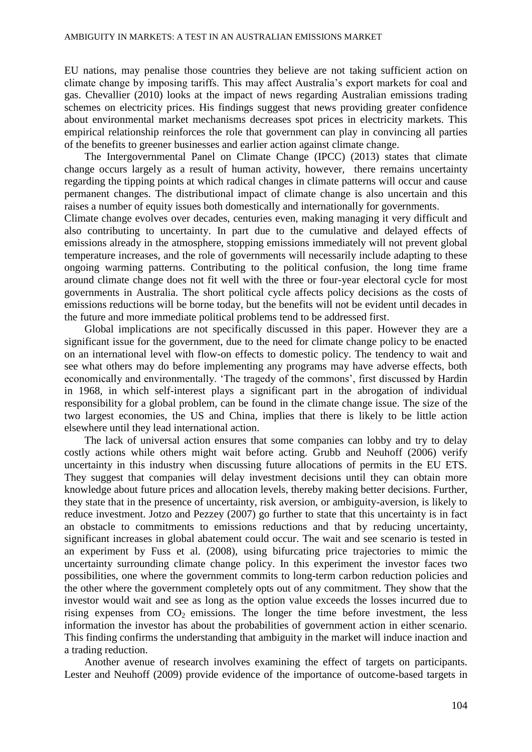EU nations, may penalise those countries they believe are not taking sufficient action on climate change by imposing tariffs. This may affect Australia's export markets for coal and gas. Chevallier (2010) looks at the impact of news regarding Australian emissions trading schemes on electricity prices. His findings suggest that news providing greater confidence about environmental market mechanisms decreases spot prices in electricity markets. This empirical relationship reinforces the role that government can play in convincing all parties of the benefits to greener businesses and earlier action against climate change.

The Intergovernmental Panel on Climate Change (IPCC) (2013) states that climate change occurs largely as a result of human activity, however, there remains uncertainty regarding the tipping points at which radical changes in climate patterns will occur and cause permanent changes. The distributional impact of climate change is also uncertain and this raises a number of equity issues both domestically and internationally for governments.

Climate change evolves over decades, centuries even, making managing it very difficult and also contributing to uncertainty. In part due to the cumulative and delayed effects of emissions already in the atmosphere, stopping emissions immediately will not prevent global temperature increases, and the role of governments will necessarily include adapting to these ongoing warming patterns. Contributing to the political confusion, the long time frame around climate change does not fit well with the three or four-year electoral cycle for most governments in Australia. The short political cycle affects policy decisions as the costs of emissions reductions will be borne today, but the benefits will not be evident until decades in the future and more immediate political problems tend to be addressed first.

Global implications are not specifically discussed in this paper. However they are a significant issue for the government, due to the need for climate change policy to be enacted on an international level with flow-on effects to domestic policy. The tendency to wait and see what others may do before implementing any programs may have adverse effects, both economically and environmentally. 'The tragedy of the commons', first discussed by Hardin in 1968, in which self-interest plays a significant part in the abrogation of individual responsibility for a global problem, can be found in the climate change issue. The size of the two largest economies, the US and China, implies that there is likely to be little action elsewhere until they lead international action.

The lack of universal action ensures that some companies can lobby and try to delay costly actions while others might wait before acting. Grubb and Neuhoff (2006) verify uncertainty in this industry when discussing future allocations of permits in the EU ETS. They suggest that companies will delay investment decisions until they can obtain more knowledge about future prices and allocation levels, thereby making better decisions. Further, they state that in the presence of uncertainty, risk aversion, or ambiguity-aversion, is likely to reduce investment. Jotzo and Pezzey (2007) go further to state that this uncertainty is in fact an obstacle to commitments to emissions reductions and that by reducing uncertainty, significant increases in global abatement could occur. The wait and see scenario is tested in an experiment by Fuss et al. (2008), using bifurcating price trajectories to mimic the uncertainty surrounding climate change policy. In this experiment the investor faces two possibilities, one where the government commits to long-term carbon reduction policies and the other where the government completely opts out of any commitment. They show that the investor would wait and see as long as the option value exceeds the losses incurred due to rising expenses from  $CO<sub>2</sub>$  emissions. The longer the time before investment, the less information the investor has about the probabilities of government action in either scenario. This finding confirms the understanding that ambiguity in the market will induce inaction and a trading reduction.

Another avenue of research involves examining the effect of targets on participants. Lester and Neuhoff (2009) provide evidence of the importance of outcome-based targets in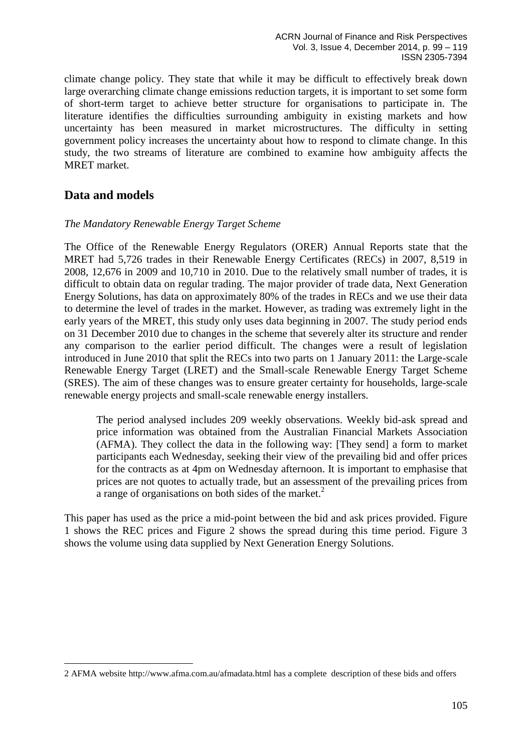climate change policy. They state that while it may be difficult to effectively break down large overarching climate change emissions reduction targets, it is important to set some form of short-term target to achieve better structure for organisations to participate in. The literature identifies the difficulties surrounding ambiguity in existing markets and how uncertainty has been measured in market microstructures. The difficulty in setting government policy increases the uncertainty about how to respond to climate change. In this study, the two streams of literature are combined to examine how ambiguity affects the MRET market.

# **Data and models**

<u>.</u>

### *The Mandatory Renewable Energy Target Scheme*

The Office of the Renewable Energy Regulators (ORER) Annual Reports state that the MRET had 5,726 trades in their Renewable Energy Certificates (RECs) in 2007, 8,519 in 2008, 12,676 in 2009 and 10,710 in 2010. Due to the relatively small number of trades, it is difficult to obtain data on regular trading. The major provider of trade data, Next Generation Energy Solutions, has data on approximately 80% of the trades in RECs and we use their data to determine the level of trades in the market. However, as trading was extremely light in the early years of the MRET, this study only uses data beginning in 2007. The study period ends on 31 December 2010 due to changes in the scheme that severely alter its structure and render any comparison to the earlier period difficult. The changes were a result of legislation introduced in June 2010 that split the RECs into two parts on 1 January 2011: the Large-scale Renewable Energy Target (LRET) and the Small-scale Renewable Energy Target Scheme (SRES). The aim of these changes was to ensure greater certainty for households, large-scale renewable energy projects and small-scale renewable energy installers.

The period analysed includes 209 weekly observations. Weekly bid-ask spread and price information was obtained from the Australian Financial Markets Association (AFMA). They collect the data in the following way: [They send] a form to market participants each Wednesday, seeking their view of the prevailing bid and offer prices for the contracts as at 4pm on Wednesday afternoon. It is important to emphasise that prices are not quotes to actually trade, but an assessment of the prevailing prices from a range of organisations on both sides of the market.<sup>2</sup>

This paper has used as the price a mid-point between the bid and ask prices provided. Figure 1 shows the REC prices and Figure 2 shows the spread during this time period. Figure 3 shows the volume using data supplied by Next Generation Energy Solutions.

<sup>2</sup> AFMA website http://www.afma.com.au/afmadata.html has a complete description of these bids and offers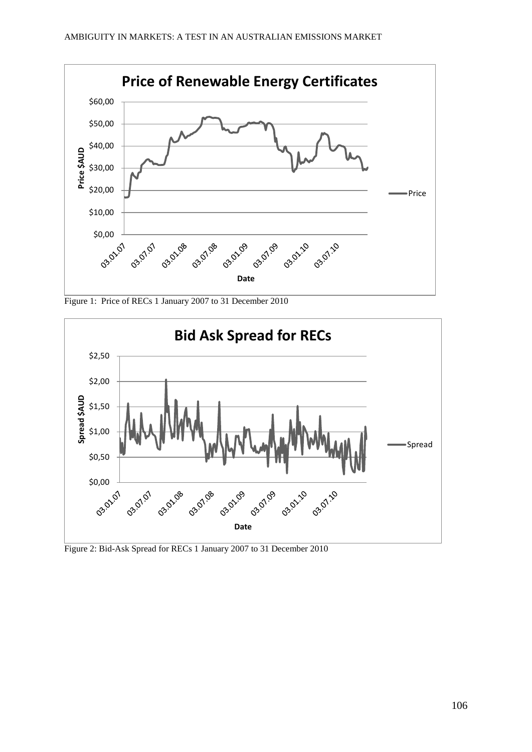

Figure 1: Price of RECs 1 January 2007 to 31 December 2010



Figure 2: Bid-Ask Spread for RECs 1 January 2007 to 31 December 2010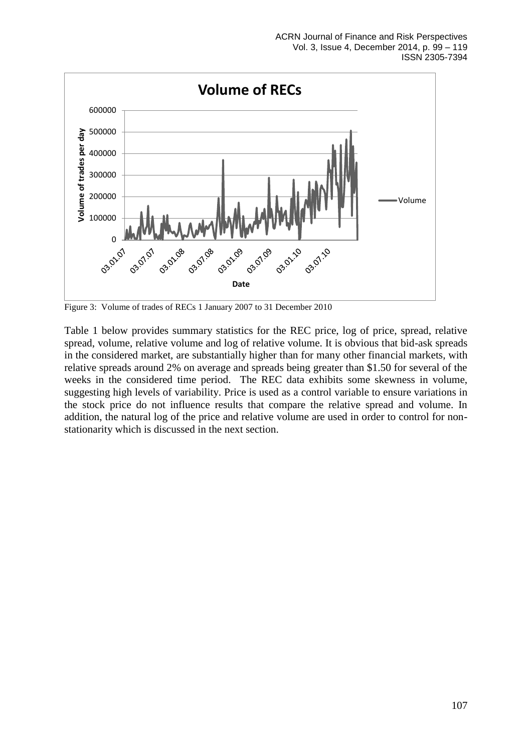

Figure 3: Volume of trades of RECs 1 January 2007 to 31 December 2010

Table 1 below provides summary statistics for the REC price, log of price, spread, relative spread, volume, relative volume and log of relative volume. It is obvious that bid-ask spreads in the considered market, are substantially higher than for many other financial markets, with relative spreads around 2% on average and spreads being greater than \$1.50 for several of the weeks in the considered time period. The REC data exhibits some skewness in volume, suggesting high levels of variability. Price is used as a control variable to ensure variations in the stock price do not influence results that compare the relative spread and volume. In addition, the natural log of the price and relative volume are used in order to control for nonstationarity which is discussed in the next section.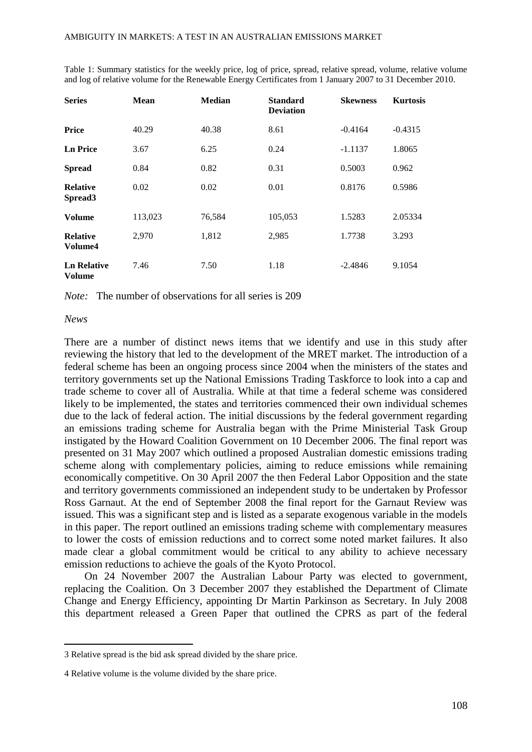| <b>Series</b>                          | <b>Mean</b> | <b>Median</b> | <b>Standard</b><br><b>Deviation</b> | <b>Skewness</b> | <b>Kurtosis</b> |
|----------------------------------------|-------------|---------------|-------------------------------------|-----------------|-----------------|
| Price                                  | 40.29       | 40.38         | 8.61                                | $-0.4164$       | $-0.4315$       |
| <b>Ln Price</b>                        | 3.67        | 6.25          | 0.24                                | $-1.1137$       | 1.8065          |
| <b>Spread</b>                          | 0.84        | 0.82          | 0.31                                | 0.5003          | 0.962           |
| <b>Relative</b><br>Spread <sub>3</sub> | 0.02        | 0.02          | 0.01                                | 0.8176          | 0.5986          |
| Volume                                 | 113,023     | 76,584        | 105,053                             | 1.5283          | 2.05334         |
| <b>Relative</b><br>Volume4             | 2,970       | 1,812         | 2,985                               | 1.7738          | 3.293           |
| <b>Ln Relative</b><br><b>Volume</b>    | 7.46        | 7.50          | 1.18                                | $-2.4846$       | 9.1054          |

Table 1: Summary statistics for the weekly price, log of price, spread, relative spread, volume, relative volume and log of relative volume for the Renewable Energy Certificates from 1 January 2007 to 31 December 2010.

*Note:* The number of observations for all series is 209

*News* 

1

There are a number of distinct news items that we identify and use in this study after reviewing the history that led to the development of the MRET market. The introduction of a federal scheme has been an ongoing process since 2004 when the ministers of the states and territory governments set up the National Emissions Trading Taskforce to look into a cap and trade scheme to cover all of Australia. While at that time a federal scheme was considered likely to be implemented, the states and territories commenced their own individual schemes due to the lack of federal action. The initial discussions by the federal government regarding an emissions trading scheme for Australia began with the Prime Ministerial Task Group instigated by the Howard Coalition Government on 10 December 2006. The final report was presented on 31 May 2007 which outlined a proposed Australian domestic emissions trading scheme along with complementary policies, aiming to reduce emissions while remaining economically competitive. On 30 April 2007 the then Federal Labor Opposition and the state and territory governments commissioned an independent study to be undertaken by Professor Ross Garnaut. At the end of September 2008 the final report for the Garnaut Review was issued. This was a significant step and is listed as a separate exogenous variable in the models in this paper. The report outlined an emissions trading scheme with complementary measures to lower the costs of emission reductions and to correct some noted market failures. It also made clear a global commitment would be critical to any ability to achieve necessary emission reductions to achieve the goals of the Kyoto Protocol.

On 24 November 2007 the Australian Labour Party was elected to government, replacing the Coalition. On 3 December 2007 they established the Department of Climate Change and Energy Efficiency, appointing Dr Martin Parkinson as Secretary. In July 2008 this department released a Green Paper that outlined the CPRS as part of the federal

<sup>3</sup> Relative spread is the bid ask spread divided by the share price.

<sup>4</sup> Relative volume is the volume divided by the share price.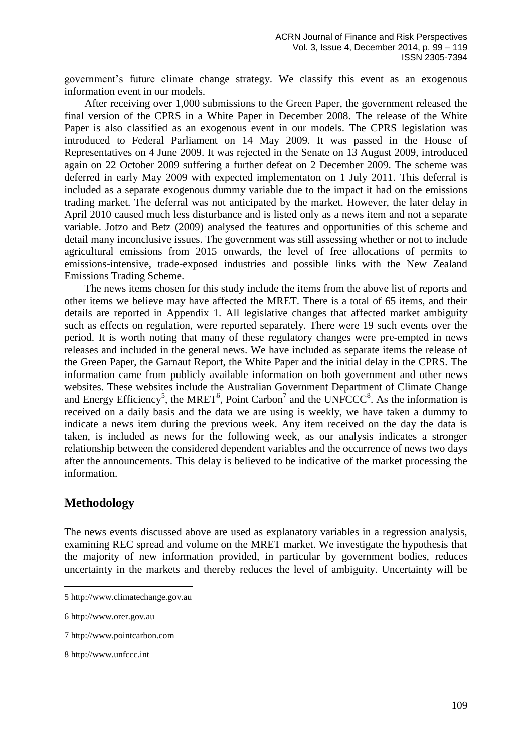government's future climate change strategy. We classify this event as an exogenous information event in our models.

After receiving over 1,000 submissions to the Green Paper, the government released the final version of the CPRS in a White Paper in December 2008. The release of the White Paper is also classified as an exogenous event in our models. The CPRS legislation was introduced to Federal Parliament on 14 May 2009. It was passed in the House of Representatives on 4 June 2009. It was rejected in the Senate on 13 August 2009, introduced again on 22 October 2009 suffering a further defeat on 2 December 2009. The scheme was deferred in early May 2009 with expected implementaton on 1 July 2011. This deferral is included as a separate exogenous dummy variable due to the impact it had on the emissions trading market. The deferral was not anticipated by the market. However, the later delay in April 2010 caused much less disturbance and is listed only as a news item and not a separate variable. Jotzo and Betz (2009) analysed the features and opportunities of this scheme and detail many inconclusive issues. The government was still assessing whether or not to include agricultural emissions from 2015 onwards, the level of free allocations of permits to emissions-intensive, trade-exposed industries and possible links with the New Zealand Emissions Trading Scheme.

The news items chosen for this study include the items from the above list of reports and other items we believe may have affected the MRET. There is a total of 65 items, and their details are reported in Appendix 1. All legislative changes that affected market ambiguity such as effects on regulation, were reported separately. There were 19 such events over the period. It is worth noting that many of these regulatory changes were pre-empted in news releases and included in the general news. We have included as separate items the release of the Green Paper, the Garnaut Report, the White Paper and the initial delay in the CPRS. The information came from publicly available information on both government and other news websites. These websites include the Australian Government Department of Climate Change and Energy Efficiency<sup>5</sup>, the MRET<sup>6</sup>, Point Carbon<sup>7</sup> and the UNFCCC<sup>8</sup>. As the information is received on a daily basis and the data we are using is weekly, we have taken a dummy to indicate a news item during the previous week. Any item received on the day the data is taken, is included as news for the following week, as our analysis indicates a stronger relationship between the considered dependent variables and the occurrence of news two days after the announcements. This delay is believed to be indicative of the market processing the information.

### **Methodology**

1

The news events discussed above are used as explanatory variables in a regression analysis, examining REC spread and volume on the MRET market. We investigate the hypothesis that the majority of new information provided, in particular by government bodies, reduces uncertainty in the markets and thereby reduces the level of ambiguity. Uncertainty will be

<sup>5</sup> http://www.climatechange.gov.au

<sup>6</sup> [http://www.orer.gov.au](http://www.orer.gov.au/)

<sup>7</sup> [http://www.pointcarbon.com](http://www.pointcarbon.com/)

<sup>8</sup> [http://www.unfccc.int](http://www.unfccc.int/)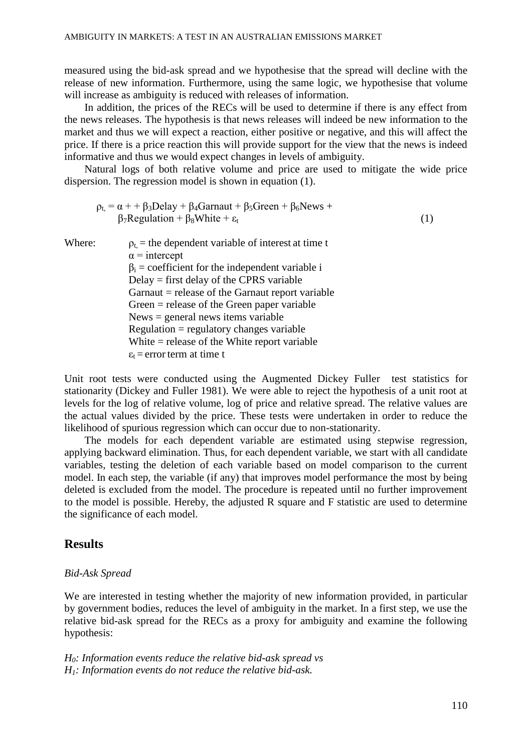measured using the bid-ask spread and we hypothesise that the spread will decline with the release of new information. Furthermore, using the same logic, we hypothesise that volume will increase as ambiguity is reduced with releases of information.

In addition, the prices of the RECs will be used to determine if there is any effect from the news releases. The hypothesis is that news releases will indeed be new information to the market and thus we will expect a reaction, either positive or negative, and this will affect the price. If there is a price reaction this will provide support for the view that the news is indeed informative and thus we would expect changes in levels of ambiguity.

Natural logs of both relative volume and price are used to mitigate the wide price dispersion. The regression model is shown in equation (1).

$$
\rho_{t} = \alpha + \beta_{3} \text{Delay} + \beta_{4} \text{Garraut} + \beta_{5} \text{Green} + \beta_{6} \text{News} + \beta_{7} \text{Regularian} + \beta_{8} \text{White} + \varepsilon_{t}
$$
\n(1)

Where:  $\rho_t$  = the dependent variable of interest at time t  $\alpha$  = intercept  $\beta_i$  = coefficient for the independent variable i Delay = first delay of the CPRS variable  $Garnaut = release of the Garnaut report variable$ Green = release of the Green paper variable News = general news items variable  $Regularion = regularory changes variable$ White = release of the White report variable  $\varepsilon_t$  = error term at time t

Unit root tests were conducted using the Augmented Dickey Fuller test statistics for stationarity (Dickey and Fuller 1981). We were able to reject the hypothesis of a unit root at levels for the log of relative volume, log of price and relative spread. The relative values are the actual values divided by the price. These tests were undertaken in order to reduce the likelihood of spurious regression which can occur due to non-stationarity.

The models for each dependent variable are estimated using stepwise regression, applying backward elimination. Thus, for each dependent variable, we start with all candidate variables, testing the deletion of each variable based on model comparison to the current model. In each step, the variable (if any) that improves model performance the most by being deleted is excluded from the model. The procedure is repeated until no further improvement to the model is possible. Hereby, the adjusted R square and F statistic are used to determine the significance of each model.

### **Results**

#### *Bid-Ask Spread*

We are interested in testing whether the majority of new information provided, in particular by government bodies, reduces the level of ambiguity in the market. In a first step, we use the relative bid-ask spread for the RECs as a proxy for ambiguity and examine the following hypothesis:

*H0: Information events reduce the relative bid-ask spread vs H1: Information events do not reduce the relative bid-ask.*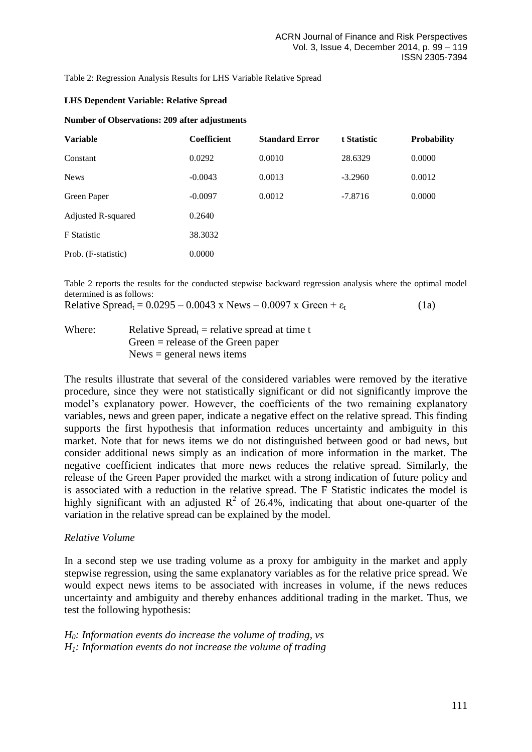Table 2: Regression Analysis Results for LHS Variable Relative Spread

#### **LHS Dependent Variable: Relative Spread**

#### **Number of Observations: 209 after adjustments**

| <b>Variable</b>     | <b>Coefficient</b> | <b>Standard Error</b> | t Statistic | <b>Probability</b> |
|---------------------|--------------------|-----------------------|-------------|--------------------|
| Constant            | 0.0292             | 0.0010                | 28.6329     | 0.0000             |
| <b>News</b>         | $-0.0043$          | 0.0013                | $-3.2960$   | 0.0012             |
| Green Paper         | $-0.0097$          | 0.0012                | $-7.8716$   | 0.0000             |
| Adjusted R-squared  | 0.2640             |                       |             |                    |
| <b>F</b> Statistic  | 38.3032            |                       |             |                    |
| Prob. (F-statistic) | 0.0000             |                       |             |                    |

Table 2 reports the results for the conducted stepwise backward regression analysis where the optimal model determined is as follows:

Relative Spread<sub>t</sub> =  $0.0295 - 0.0043$  x News –  $0.0097$  x Green +  $\varepsilon_t$  (1a)

Where: Relative Spread<sub>t</sub> = relative spread at time t Green = release of the Green paper  $News = general news items$ 

The results illustrate that several of the considered variables were removed by the iterative procedure, since they were not statistically significant or did not significantly improve the model's explanatory power. However, the coefficients of the two remaining explanatory variables, news and green paper, indicate a negative effect on the relative spread. This finding supports the first hypothesis that information reduces uncertainty and ambiguity in this market. Note that for news items we do not distinguished between good or bad news, but consider additional news simply as an indication of more information in the market. The negative coefficient indicates that more news reduces the relative spread. Similarly, the release of the Green Paper provided the market with a strong indication of future policy and is associated with a reduction in the relative spread. The F Statistic indicates the model is highly significant with an adjusted  $R^2$  of 26.4%, indicating that about one-quarter of the variation in the relative spread can be explained by the model.

### *Relative Volume*

In a second step we use trading volume as a proxy for ambiguity in the market and apply stepwise regression, using the same explanatory variables as for the relative price spread. We would expect news items to be associated with increases in volume, if the news reduces uncertainty and ambiguity and thereby enhances additional trading in the market. Thus, we test the following hypothesis:

### *H0: Information events do increase the volume of trading, vs H1: Information events do not increase the volume of trading*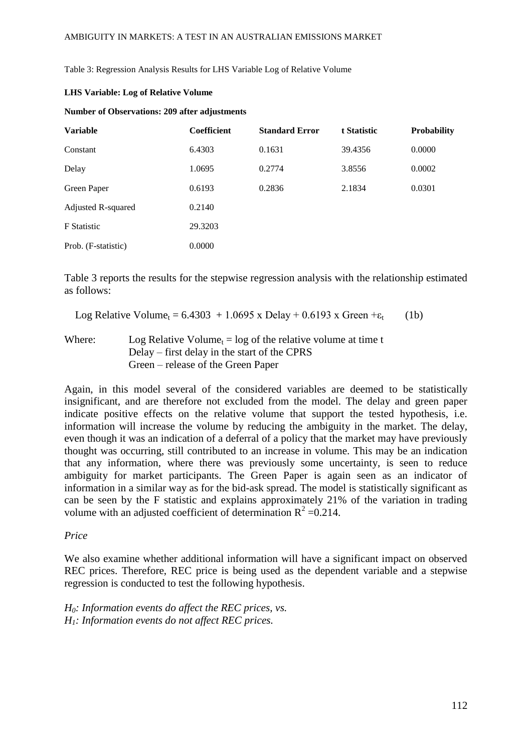Table 3: Regression Analysis Results for LHS Variable Log of Relative Volume

#### **LHS Variable: Log of Relative Volume**

#### **Number of Observations: 209 after adjustments**

| <b>Variable</b>     | <b>Coefficient</b> | <b>Standard Error</b> | t Statistic | <b>Probability</b> |
|---------------------|--------------------|-----------------------|-------------|--------------------|
| Constant            | 6.4303             | 0.1631                | 39.4356     | 0.0000             |
| Delay               | 1.0695             | 0.2774                | 3.8556      | 0.0002             |
| Green Paper         | 0.6193             | 0.2836                | 2.1834      | 0.0301             |
| Adjusted R-squared  | 0.2140             |                       |             |                    |
| <b>F</b> Statistic  | 29.3203            |                       |             |                    |
| Prob. (F-statistic) | 0.0000             |                       |             |                    |

Table 3 reports the results for the stepwise regression analysis with the relationship estimated as follows:

Log Relative Volume<sub>t</sub> = 6.4303 + 1.0695 x Delay + 0.6193 x Green + $\varepsilon_t$ (1b)

Where: Log Relative Volume<sub>t</sub> = log of the relative volume at time t Delay – first delay in the start of the CPRS Green – release of the Green Paper

Again, in this model several of the considered variables are deemed to be statistically insignificant, and are therefore not excluded from the model. The delay and green paper indicate positive effects on the relative volume that support the tested hypothesis, i.e. information will increase the volume by reducing the ambiguity in the market. The delay, even though it was an indication of a deferral of a policy that the market may have previously thought was occurring, still contributed to an increase in volume. This may be an indication that any information, where there was previously some uncertainty, is seen to reduce ambiguity for market participants. The Green Paper is again seen as an indicator of information in a similar way as for the bid-ask spread. The model is statistically significant as can be seen by the F statistic and explains approximately 21% of the variation in trading volume with an adjusted coefficient of determination  $R^2 = 0.214$ .

#### *Price*

We also examine whether additional information will have a significant impact on observed REC prices. Therefore, REC price is being used as the dependent variable and a stepwise regression is conducted to test the following hypothesis.

*H0: Information events do affect the REC prices, vs. H1: Information events do not affect REC prices.*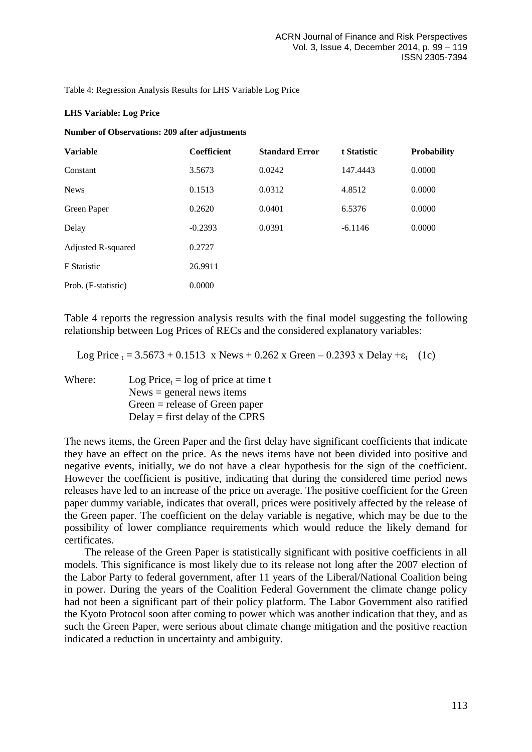Table 4: Regression Analysis Results for LHS Variable Log Price

#### **LHS Variable: Log Price**

#### **Number of Observations: 209 after adjustments**

| <b>Variable</b>     | <b>Coefficient</b> | <b>Standard Error</b> | t Statistic | <b>Probability</b> |
|---------------------|--------------------|-----------------------|-------------|--------------------|
| Constant            | 3.5673             | 0.0242                | 147.4443    | 0.0000             |
| <b>News</b>         | 0.1513             | 0.0312                | 4.8512      | 0.0000             |
| Green Paper         | 0.2620             | 0.0401                | 6.5376      | 0.0000             |
| Delay               | $-0.2393$          | 0.0391                | $-6.1146$   | 0.0000             |
| Adjusted R-squared  | 0.2727             |                       |             |                    |
| <b>F</b> Statistic  | 26.9911            |                       |             |                    |
| Prob. (F-statistic) | 0.0000             |                       |             |                    |

Table 4 reports the regression analysis results with the final model suggesting the following relationship between Log Prices of RECs and the considered explanatory variables:

Log Price  $t = 3.5673 + 0.1513$  x News + 0.262 x Green – 0.2393 x Delay + $\varepsilon_t$  (1c)

Where: Log Price<sub>t</sub> = log of price at time t  $News = general news items$ Green = release of Green paper Delay = first delay of the CPRS

The news items, the Green Paper and the first delay have significant coefficients that indicate they have an effect on the price. As the news items have not been divided into positive and negative events, initially, we do not have a clear hypothesis for the sign of the coefficient. However the coefficient is positive, indicating that during the considered time period news releases have led to an increase of the price on average. The positive coefficient for the Green paper dummy variable, indicates that overall, prices were positively affected by the release of the Green paper. The coefficient on the delay variable is negative, which may be due to the possibility of lower compliance requirements which would reduce the likely demand for certificates.

The release of the Green Paper is statistically significant with positive coefficients in all models. This significance is most likely due to its release not long after the 2007 election of the Labor Party to federal government, after 11 years of the Liberal/National Coalition being in power. During the years of the Coalition Federal Government the climate change policy had not been a significant part of their policy platform. The Labor Government also ratified the Kyoto Protocol soon after coming to power which was another indication that they, and as such the Green Paper, were serious about climate change mitigation and the positive reaction indicated a reduction in uncertainty and ambiguity.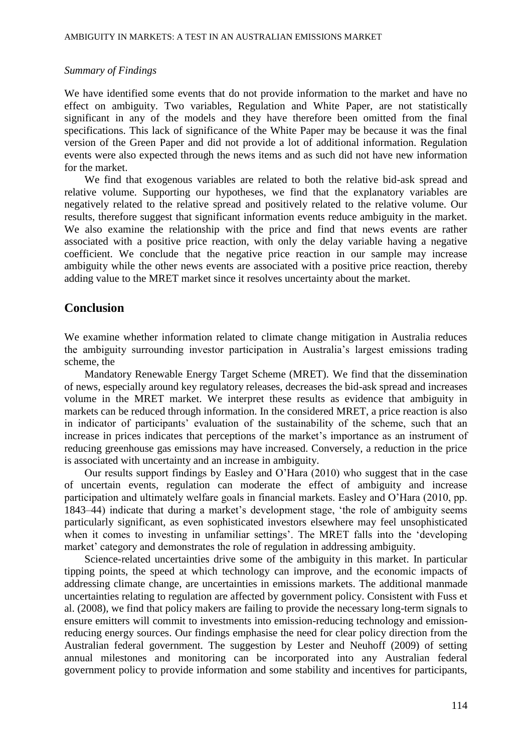#### *Summary of Findings*

We have identified some events that do not provide information to the market and have no effect on ambiguity. Two variables, Regulation and White Paper, are not statistically significant in any of the models and they have therefore been omitted from the final specifications. This lack of significance of the White Paper may be because it was the final version of the Green Paper and did not provide a lot of additional information. Regulation events were also expected through the news items and as such did not have new information for the market.

We find that exogenous variables are related to both the relative bid-ask spread and relative volume. Supporting our hypotheses, we find that the explanatory variables are negatively related to the relative spread and positively related to the relative volume. Our results, therefore suggest that significant information events reduce ambiguity in the market. We also examine the relationship with the price and find that news events are rather associated with a positive price reaction, with only the delay variable having a negative coefficient. We conclude that the negative price reaction in our sample may increase ambiguity while the other news events are associated with a positive price reaction, thereby adding value to the MRET market since it resolves uncertainty about the market.

### **Conclusion**

We examine whether information related to climate change mitigation in Australia reduces the ambiguity surrounding investor participation in Australia's largest emissions trading scheme, the

Mandatory Renewable Energy Target Scheme (MRET). We find that the dissemination of news, especially around key regulatory releases, decreases the bid-ask spread and increases volume in the MRET market. We interpret these results as evidence that ambiguity in markets can be reduced through information. In the considered MRET, a price reaction is also in indicator of participants' evaluation of the sustainability of the scheme, such that an increase in prices indicates that perceptions of the market's importance as an instrument of reducing greenhouse gas emissions may have increased. Conversely, a reduction in the price is associated with uncertainty and an increase in ambiguity.

Our results support findings by Easley and O'Hara (2010) who suggest that in the case of uncertain events, regulation can moderate the effect of ambiguity and increase participation and ultimately welfare goals in financial markets. Easley and O'Hara (2010, pp. 1843–44) indicate that during a market's development stage, 'the role of ambiguity seems particularly significant, as even sophisticated investors elsewhere may feel unsophisticated when it comes to investing in unfamiliar settings'. The MRET falls into the 'developing market' category and demonstrates the role of regulation in addressing ambiguity.

Science-related uncertainties drive some of the ambiguity in this market. In particular tipping points, the speed at which technology can improve, and the economic impacts of addressing climate change, are uncertainties in emissions markets. The additional manmade uncertainties relating to regulation are affected by government policy. Consistent with Fuss et al. (2008), we find that policy makers are failing to provide the necessary long-term signals to ensure emitters will commit to investments into emission-reducing technology and emissionreducing energy sources. Our findings emphasise the need for clear policy direction from the Australian federal government. The suggestion by Lester and Neuhoff (2009) of setting annual milestones and monitoring can be incorporated into any Australian federal government policy to provide information and some stability and incentives for participants,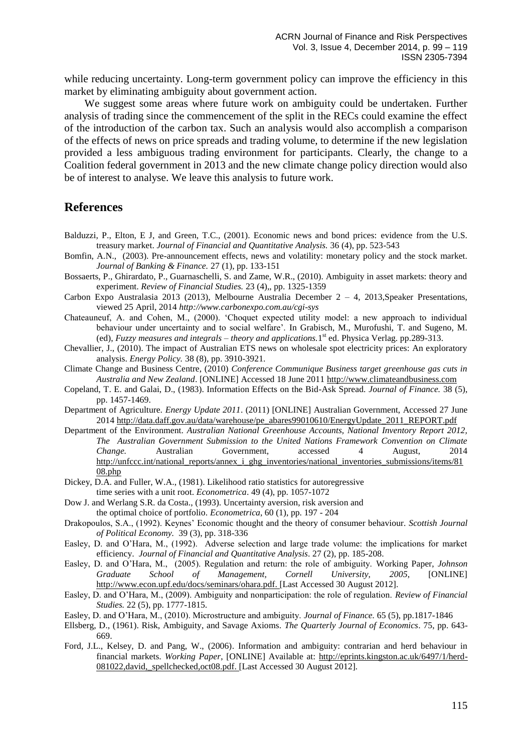while reducing uncertainty. Long-term government policy can improve the efficiency in this market by eliminating ambiguity about government action.

We suggest some areas where future work on ambiguity could be undertaken. Further analysis of trading since the commencement of the split in the RECs could examine the effect of the introduction of the carbon tax. Such an analysis would also accomplish a comparison of the effects of news on price spreads and trading volume, to determine if the new legislation provided a less ambiguous trading environment for participants. Clearly, the change to a Coalition federal government in 2013 and the new climate change policy direction would also be of interest to analyse. We leave this analysis to future work.

### **References**

- Balduzzi, P., Elton, E J, and Green, T.C., (2001). Economic news and bond prices: evidence from the U.S. treasury market. *Journal of Financial and Quantitative Analysis.* 36 (4), pp. 523-543
- Bomfin, A.N., (2003). Pre-announcement effects, news and volatility: monetary policy and the stock market. *Journal of Banking & Finance.* 27 (1), pp. 133-151
- Bossaerts, P., Ghirardato, P., Guarnaschelli, S. and Zame, W.R., (2010). Ambiguity in asset markets: theory and experiment. *Review of Financial Studies.* 23 (4),, pp. 1325-1359
- Carbon Expo Australasia 2013 (2013), Melbourne Australia December 2 4, 2013,Speaker Presentations, viewed 25 April, 2014 *http://www.carbonexpo.com.au/cgi-sys*
- Chateauneuf, A. and Cohen, M., (2000). 'Choquet expected utility model: a new approach to individual behaviour under uncertainty and to social welfare'. In Grabisch, M., Murofushi, T. and Sugeno, M. (ed), *Fuzzy measures and integrals – theory and applications.*1 st ed. Physica Verlag. pp.289-313.
- Chevallier, J., (2010). The impact of Australian ETS news on wholesale spot electricity prices: An exploratory analysis. *Energy Policy.* 38 (8), pp. 3910-3921.
- Climate Change and Business Centre, (2010) *Conference Communique Business target greenhouse gas cuts in Australia and New Zealand*. [ONLINE] Accessed 18 June 201[1 http://www.climateandbusiness.com](http://www.climateandbusiness.com/)
- Copeland, T. E. and Galai, D., (1983). Information Effects on the Bid-Ask Spread. *Journal of Finance.* 38 (5), pp. 1457-1469.
- Department of Agriculture. *Energy Update 2011*. (2011) [ONLINE] Australian Government, Accessed 27 June 201[4 http://data.daff.gov.au/data/warehouse/pe\\_abares99010610/EnergyUpdate\\_2011\\_REPORT.pdf](http://data.daff.gov.au/data/warehouse/pe_abares99010610/EnergyUpdate_2011_REPORT.pdf)
- Department of the Environment. *Australian National Greenhouse Accounts, National Inventory Report 2012, The Australian Government Submission to the United Nations Framework Convention on Climate Change.* Australian Government, accessed 4 August, 2014 [http://unfccc.int/national\\_reports/annex\\_i\\_ghg\\_inventories/national\\_inventories\\_submissions/items/81](http://unfccc.int/national_reports/annex_i_ghg_inventories/national_inventories_submissions/items/8108.php) [08.php](http://unfccc.int/national_reports/annex_i_ghg_inventories/national_inventories_submissions/items/8108.php)
- [Dickey,](http://www.sciencedirect.com/science?_ob=ArticleURL&_udi=B6V84-3T51RH8-2P&_user=21981&_rdoc=1&_fmt=&_orig=search&_sort=d&view=c&_acct=C000002378&_version=1&_urlVersion=0&_userid=21981&md5=d703f0c51ca134d7d804299cd335dd29#bb1#bb1) D.A. and Fuller, W.A., (1981). Likelihood ratio statistics for autoregressive time series with a unit root. *Econometrica*. 49 (4), pp. 1057-1072
- Dow J. and Werlang S.R. da Costa., (1993). Uncertainty aversion, risk aversion and the optimal choice of portfolio. *Econometrica*, 60 (1), pp. 197 - 204
- Drakopoulos, S.A., (1992). Keynes' Economic thought and the theory of consumer behaviour. *Scottish Journal of Political Economy.* 39 (3), pp. 318-336
- Easley, D. and O'Hara, M., (1992). Adverse selection and large trade volume: the implications for market efficiency. *Journal of Financial and Quantitative Analysis*. 27 (2), pp. 185-208.
- Easley, D. and O'Hara, M., (2005). Regulation and return: the role of ambiguity. Working Paper, *Johnson Graduate School of Management, Cornell University, 2005*, [ONLINE] [http://www.econ.upf.edu/docs/seminars/ohara.pdf.](http://www.econ.upf.edu/docs/seminars/ohara.pdf) [Last Accessed 30 August 2012].
- Easley, D. and O'Hara, M., (2009). Ambiguity and nonparticipation: the role of regulation. *Review of Financial Studies.* 22 (5), pp. 1777-1815.
- Easley, D. and O'Hara, M., (2010). Microstructure and ambiguity. *Journal of Finance.* 65 (5), pp.1817-1846
- Ellsberg, D., (1961). Risk, Ambiguity, and Savage Axioms. *The Quarterly Journal of Economics*. 75, pp. 643- 669.
- Ford, J.L., Kelsey, D. and Pang, W., (2006). Information and ambiguity: contrarian and herd behaviour in financial markets. *Working Paper*, [ONLINE] Available at: [http://eprints.kingston.ac.uk/6497/1/herd-](http://eprints.kingston.ac.uk/6497/1/herd-081022,david,_spellchecked,oct08.pdf)[081022,david,\\_spellchecked,oct08.pdf.](http://eprints.kingston.ac.uk/6497/1/herd-081022,david,_spellchecked,oct08.pdf) [Last Accessed 30 August 2012].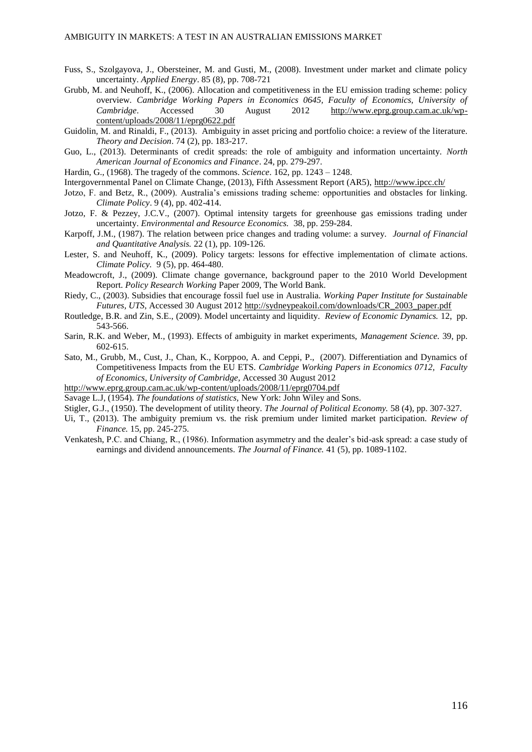- Fuss, S., Szolgayova, J., Obersteiner, M. and Gusti, M., (2008). Investment under market and climate policy uncertainty. *Applied Energy*. 85 (8), pp. 708-721
- Grubb, M. and Neuhoff, K., (2006). Allocation and competitiveness in the EU emission trading scheme: policy overview. *Cambridge Working Papers in Economics 0645, Faculty of Economics, University of Cambridge*. Accessed 30 August 2012 [http://www.eprg.group.cam.ac.uk/wp](http://www.eprg.group.cam.ac.uk/wp-content/uploads/2008/11/eprg0622.pdf)[content/uploads/2008/11/eprg0622.pdf](http://www.eprg.group.cam.ac.uk/wp-content/uploads/2008/11/eprg0622.pdf)
- Guidolin, M. and Rinaldi, F., (2013). Ambiguity in asset pricing and portfolio choice: a review of the literature. *Theory and Decision*. 74 (2), pp. 183-217.
- Guo, L., (2013). Determinants of credit spreads: the role of ambiguity and information uncertainty. *North American Journal of Economics and Finance*. 24, pp. 279-297.
- Hardin, G., (1968). The tragedy of the commons. *Science*. 162, pp. 1243 1248.
- Intergovernmental Panel on Climate Change, (2013), Fifth Assessment Report (AR5),<http://www.ipcc.ch/>
- Jotzo, F. and Betz, R., (2009). Australia's emissions trading scheme: opportunities and obstacles for linking. *Climate Policy*. 9 (4), pp. 402-414.
- Jotzo, F. & Pezzey, J.C.V., (2007). Optimal intensity targets for greenhouse gas emissions trading under uncertainty. *Environmental and Resource Economics.* 38, pp. 259-284.
- Karpoff, J.M., (1987). The relation between price changes and trading volume: a survey. *Journal of Financial and Quantitative Analysis.* 22 (1), pp. 109-126.
- Lester, S. and Neuhoff, K., (2009). Policy targets: lessons for effective implementation of climate actions. *Climate Policy.* 9 (5), pp. 464-480.
- Meadowcroft, J., (2009). Climate change governance, background paper to the 2010 World Development Report. *Policy Research Working* Paper 2009, The World Bank.
- Riedy, C., (2003). Subsidies that encourage fossil fuel use in Australia. *Working Paper Institute for Sustainable Futures, UTS*, Accessed 30 August 201[2 http://sydneypeakoil.com/downloads/CR\\_2003\\_paper.pdf](http://sydneypeakoil.com/downloads/CR_2003_paper.pdf)
- Routledge, B.R. and Zin, S.E., (2009). Model uncertainty and liquidity. *Review of Economic Dynamics.* 12, pp. 543-566.
- Sarin, R.K. and Weber, M., (1993). Effects of ambiguity in market experiments, *Management Science.* 39, pp. 602-615.
- Sato, M., Grubb, M., Cust, J., Chan, K., Korppoo, A. and Ceppi, P., (2007). Differentiation and Dynamics of Competitiveness Impacts from the EU ETS. *Cambridge Working Papers in Economics 0712, Faculty of Economics, University of Cambridge,* Accessed 30 August 2012
- <http://www.eprg.group.cam.ac.uk/wp-content/uploads/2008/11/eprg0704.pdf>
- Savage L.J, (1954). *The foundations of statistics,* New York: John Wiley and Sons.
- Stigler, G.J., (1950). The development of utility theory. *The Journal of Political Economy.* 58 (4), pp. 307-327.
- Ui, T., (2013). The ambiguity premium vs. the risk premium under limited market participation. *Review of Finance.* 15, pp. 245-275.
- Venkatesh, P.C. and Chiang, R., (1986). Information asymmetry and the dealer's bid-ask spread: a case study of earnings and dividend announcements. *The Journal of Finance.* 41 (5), pp. 1089-1102.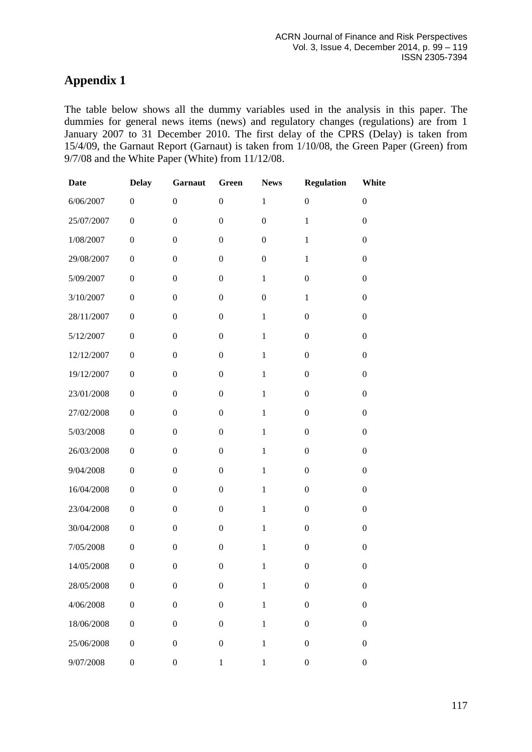# **Appendix 1**

The table below shows all the dummy variables used in the analysis in this paper. The dummies for general news items (news) and regulatory changes (regulations) are from 1 January 2007 to 31 December 2010. The first delay of the CPRS (Delay) is taken from 15/4/09, the Garnaut Report (Garnaut) is taken from 1/10/08, the Green Paper (Green) from 9/7/08 and the White Paper (White) from 11/12/08.

| <b>Date</b> | <b>Delay</b>     | Garnaut          | Green            | <b>News</b>      | <b>Regulation</b> | White            |
|-------------|------------------|------------------|------------------|------------------|-------------------|------------------|
| 6/06/2007   | $\boldsymbol{0}$ | $\boldsymbol{0}$ | $\boldsymbol{0}$ | $\mathbf{1}$     | $\boldsymbol{0}$  | $\boldsymbol{0}$ |
| 25/07/2007  | $\boldsymbol{0}$ | $\boldsymbol{0}$ | $\boldsymbol{0}$ | $\boldsymbol{0}$ | $\mathbf{1}$      | $\boldsymbol{0}$ |
| 1/08/2007   | $\boldsymbol{0}$ | $\boldsymbol{0}$ | $\boldsymbol{0}$ | $\boldsymbol{0}$ | $\mathbf{1}$      | $\boldsymbol{0}$ |
| 29/08/2007  | $\boldsymbol{0}$ | $\boldsymbol{0}$ | $\boldsymbol{0}$ | $\boldsymbol{0}$ | $\mathbf{1}$      | $\boldsymbol{0}$ |
| 5/09/2007   | $\boldsymbol{0}$ | $\boldsymbol{0}$ | $\boldsymbol{0}$ | $\mathbf{1}$     | $\boldsymbol{0}$  | $\boldsymbol{0}$ |
| 3/10/2007   | $\boldsymbol{0}$ | $\boldsymbol{0}$ | $\boldsymbol{0}$ | $\boldsymbol{0}$ | $\,1$             | $\boldsymbol{0}$ |
| 28/11/2007  | $\boldsymbol{0}$ | $\boldsymbol{0}$ | $\boldsymbol{0}$ | $\mathbf{1}$     | $\boldsymbol{0}$  | $\boldsymbol{0}$ |
| 5/12/2007   | $\boldsymbol{0}$ | $\boldsymbol{0}$ | $\boldsymbol{0}$ | $\mathbf{1}$     | $\boldsymbol{0}$  | $\boldsymbol{0}$ |
| 12/12/2007  | $\boldsymbol{0}$ | $\boldsymbol{0}$ | $\boldsymbol{0}$ | $\mathbf{1}$     | $\boldsymbol{0}$  | $\boldsymbol{0}$ |
| 19/12/2007  | $\boldsymbol{0}$ | $\boldsymbol{0}$ | $\boldsymbol{0}$ | $\mathbf{1}$     | $\boldsymbol{0}$  | $\boldsymbol{0}$ |
| 23/01/2008  | $\boldsymbol{0}$ | $\boldsymbol{0}$ | $\boldsymbol{0}$ | $\mathbf{1}$     | $\boldsymbol{0}$  | $\boldsymbol{0}$ |
| 27/02/2008  | $\boldsymbol{0}$ | $\boldsymbol{0}$ | $\boldsymbol{0}$ | $\mathbf{1}$     | $\boldsymbol{0}$  | $\boldsymbol{0}$ |
| 5/03/2008   | $\boldsymbol{0}$ | $\boldsymbol{0}$ | $\boldsymbol{0}$ | $\mathbf{1}$     | $\boldsymbol{0}$  | $\boldsymbol{0}$ |
| 26/03/2008  | $\boldsymbol{0}$ | $\boldsymbol{0}$ | $\boldsymbol{0}$ | $\mathbf{1}$     | $\boldsymbol{0}$  | $\boldsymbol{0}$ |
| 9/04/2008   | $\boldsymbol{0}$ | $\boldsymbol{0}$ | $\boldsymbol{0}$ | $\mathbf{1}$     | $\boldsymbol{0}$  | $\boldsymbol{0}$ |
| 16/04/2008  | $\boldsymbol{0}$ | $\boldsymbol{0}$ | $\boldsymbol{0}$ | $\mathbf{1}$     | $\boldsymbol{0}$  | $\boldsymbol{0}$ |
| 23/04/2008  | $\boldsymbol{0}$ | $\boldsymbol{0}$ | $\boldsymbol{0}$ | $\mathbf{1}$     | $\boldsymbol{0}$  | $\boldsymbol{0}$ |
| 30/04/2008  | $\boldsymbol{0}$ | $\boldsymbol{0}$ | $\boldsymbol{0}$ | $\mathbf 1$      | $\boldsymbol{0}$  | $\boldsymbol{0}$ |
| 7/05/2008   | $\boldsymbol{0}$ | $\boldsymbol{0}$ | $\boldsymbol{0}$ | $\mathbf{1}$     | $\boldsymbol{0}$  | $\boldsymbol{0}$ |
| 14/05/2008  | $\boldsymbol{0}$ | $\boldsymbol{0}$ | $\boldsymbol{0}$ | $\mathbf{1}$     | $\boldsymbol{0}$  | $\boldsymbol{0}$ |
| 28/05/2008  | $\boldsymbol{0}$ | $\boldsymbol{0}$ | $\boldsymbol{0}$ | $\mathbf 1$      | $\boldsymbol{0}$  | $\boldsymbol{0}$ |
| 4/06/2008   | $\boldsymbol{0}$ | $\boldsymbol{0}$ | $\boldsymbol{0}$ | $\mathbf 1$      | $\boldsymbol{0}$  | $\boldsymbol{0}$ |
| 18/06/2008  | $\boldsymbol{0}$ | $\boldsymbol{0}$ | $\boldsymbol{0}$ | $\mathbf 1$      | $\boldsymbol{0}$  | $\boldsymbol{0}$ |
| 25/06/2008  | $\boldsymbol{0}$ | $\boldsymbol{0}$ | $\boldsymbol{0}$ | $\,1$            | $\boldsymbol{0}$  | $\boldsymbol{0}$ |
| 9/07/2008   | $\boldsymbol{0}$ | $\boldsymbol{0}$ | $\,1$            | $\,1$            | $\boldsymbol{0}$  | $\boldsymbol{0}$ |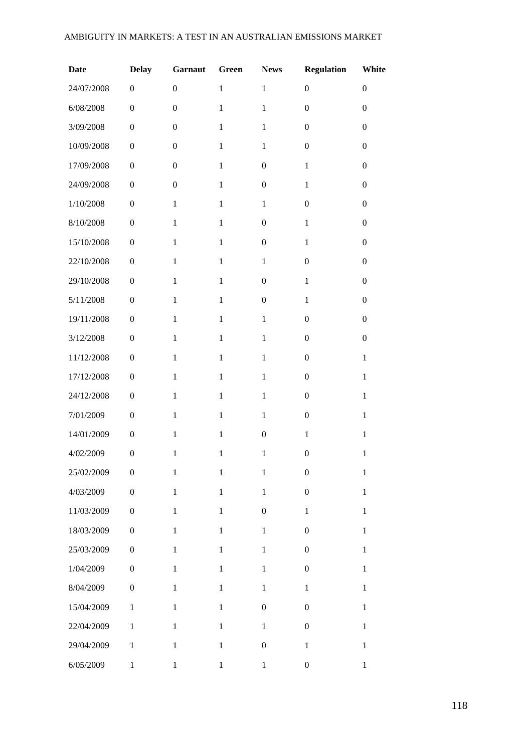#### AMBIGUITY IN MARKETS: A TEST IN AN AUSTRALIAN EMISSIONS MARKET

| <b>Date</b> | <b>Delay</b>     | Garnaut          | Green        | <b>News</b>      | <b>Regulation</b> | White            |
|-------------|------------------|------------------|--------------|------------------|-------------------|------------------|
| 24/07/2008  | $\boldsymbol{0}$ | $\boldsymbol{0}$ | $\mathbf{1}$ | $\mathbf{1}$     | $\boldsymbol{0}$  | $\overline{0}$   |
| 6/08/2008   | $\boldsymbol{0}$ | $\boldsymbol{0}$ | $\mathbf{1}$ | $\mathbf{1}$     | $\boldsymbol{0}$  | $\boldsymbol{0}$ |
| 3/09/2008   | $\boldsymbol{0}$ | $\boldsymbol{0}$ | $\mathbf{1}$ | $\mathbf{1}$     | $\boldsymbol{0}$  | $\boldsymbol{0}$ |
| 10/09/2008  | $\boldsymbol{0}$ | $\boldsymbol{0}$ | $\mathbf{1}$ | $\mathbf{1}$     | $\boldsymbol{0}$  | $\boldsymbol{0}$ |
| 17/09/2008  | $\boldsymbol{0}$ | $\boldsymbol{0}$ | $\mathbf{1}$ | $\boldsymbol{0}$ | $\mathbf{1}$      | $\mathbf{0}$     |
| 24/09/2008  | $\boldsymbol{0}$ | $\boldsymbol{0}$ | $\mathbf{1}$ | $\boldsymbol{0}$ | $\mathbf{1}$      | $\boldsymbol{0}$ |
| 1/10/2008   | $\boldsymbol{0}$ | $\mathbf{1}$     | $\mathbf{1}$ | $\mathbf{1}$     | $\boldsymbol{0}$  | $\boldsymbol{0}$ |
| 8/10/2008   | $\boldsymbol{0}$ | $\mathbf{1}$     | $\mathbf{1}$ | $\boldsymbol{0}$ | $\mathbf{1}$      | $\boldsymbol{0}$ |
| 15/10/2008  | $\boldsymbol{0}$ | $\mathbf{1}$     | $\mathbf{1}$ | $\boldsymbol{0}$ | $\mathbf{1}$      | $\boldsymbol{0}$ |
| 22/10/2008  | $\boldsymbol{0}$ | $\mathbf{1}$     | $\mathbf{1}$ | $\mathbf{1}$     | $\boldsymbol{0}$  | $\boldsymbol{0}$ |
| 29/10/2008  | $\boldsymbol{0}$ | $\mathbf{1}$     | $\mathbf{1}$ | $\boldsymbol{0}$ | $\mathbf{1}$      | $\boldsymbol{0}$ |
| 5/11/2008   | $\boldsymbol{0}$ | $\mathbf{1}$     | $\mathbf{1}$ | $\boldsymbol{0}$ | $\mathbf{1}$      | $\boldsymbol{0}$ |
| 19/11/2008  | $\boldsymbol{0}$ | $\mathbf{1}$     | $\mathbf{1}$ | $\mathbf{1}$     | $\boldsymbol{0}$  | $\boldsymbol{0}$ |
| 3/12/2008   | $\boldsymbol{0}$ | $\mathbf{1}$     | $\mathbf{1}$ | $\mathbf{1}$     | $\boldsymbol{0}$  | $\boldsymbol{0}$ |
| 11/12/2008  | $\boldsymbol{0}$ | $\mathbf{1}$     | $\mathbf{1}$ | $\mathbf{1}$     | $\boldsymbol{0}$  | $\mathbf{1}$     |
| 17/12/2008  | $\boldsymbol{0}$ | $\mathbf{1}$     | $\mathbf{1}$ | $\mathbf{1}$     | $\boldsymbol{0}$  | $\mathbf{1}$     |
| 24/12/2008  | $\boldsymbol{0}$ | $\mathbf{1}$     | $\mathbf{1}$ | $\mathbf{1}$     | $\boldsymbol{0}$  | $\mathbf{1}$     |
| 7/01/2009   | $\boldsymbol{0}$ | $\mathbf{1}$     | $\mathbf{1}$ | $\mathbf{1}$     | $\boldsymbol{0}$  | $\mathbf{1}$     |
| 14/01/2009  | $\boldsymbol{0}$ | $\mathbf{1}$     | $\mathbf{1}$ | $\boldsymbol{0}$ | $\mathbf{1}$      | $\mathbf{1}$     |
| 4/02/2009   | $\boldsymbol{0}$ | $\mathbf{1}$     | $\mathbf{1}$ | $\mathbf{1}$     | $\boldsymbol{0}$  | $\mathbf{1}$     |
| 25/02/2009  | $\boldsymbol{0}$ | $\mathbf{1}$     | $\,1\,$      | $\mathbf{1}$     | $\boldsymbol{0}$  | $\,1$            |
| 4/03/2009   | $\boldsymbol{0}$ | $\mathbf{1}$     | $\mathbf 1$  | $\mathbf{1}$     | $\boldsymbol{0}$  | $\mathbf{1}$     |
| 11/03/2009  | $\boldsymbol{0}$ | $\mathbf{1}$     | $\mathbf{1}$ | $\boldsymbol{0}$ | $\mathbf{1}$      | $\mathbf{1}$     |
| 18/03/2009  | $\boldsymbol{0}$ | $\mathbf{1}$     | $\mathbf{1}$ | $\mathbf{1}$     | $\boldsymbol{0}$  | $\mathbf{1}$     |
| 25/03/2009  | $\boldsymbol{0}$ | $\mathbf{1}$     | $\mathbf{1}$ | $\mathbf{1}$     | $\boldsymbol{0}$  | $\mathbf{1}$     |
| 1/04/2009   | $\boldsymbol{0}$ | $\mathbf{1}$     | $\mathbf 1$  | $\mathbf 1$      | $\boldsymbol{0}$  | $\mathbf{1}$     |
| 8/04/2009   | $\boldsymbol{0}$ | $\mathbf{1}$     | $\,1$        | $\mathbf{1}$     | $\mathbf{1}$      | $\mathbf{1}$     |
| 15/04/2009  | $\mathbf{1}$     | $\mathbf{1}$     | $\mathbf{1}$ | $\boldsymbol{0}$ | $\boldsymbol{0}$  | $\mathbf{1}$     |
| 22/04/2009  | $\,1$            | $\mathbf{1}$     | $\,1\,$      | $\mathbf{1}$     | $\boldsymbol{0}$  | $\mathbf{1}$     |
| 29/04/2009  | $\mathbf{1}$     | $\mathbf{1}$     | $\,1\,$      | $\boldsymbol{0}$ | $\,1$             | $\mathbf{1}$     |
| 6/05/2009   | $\,1$            | $\,1$            | $\,1$        | $\,1$            | $\boldsymbol{0}$  | $\,1$            |